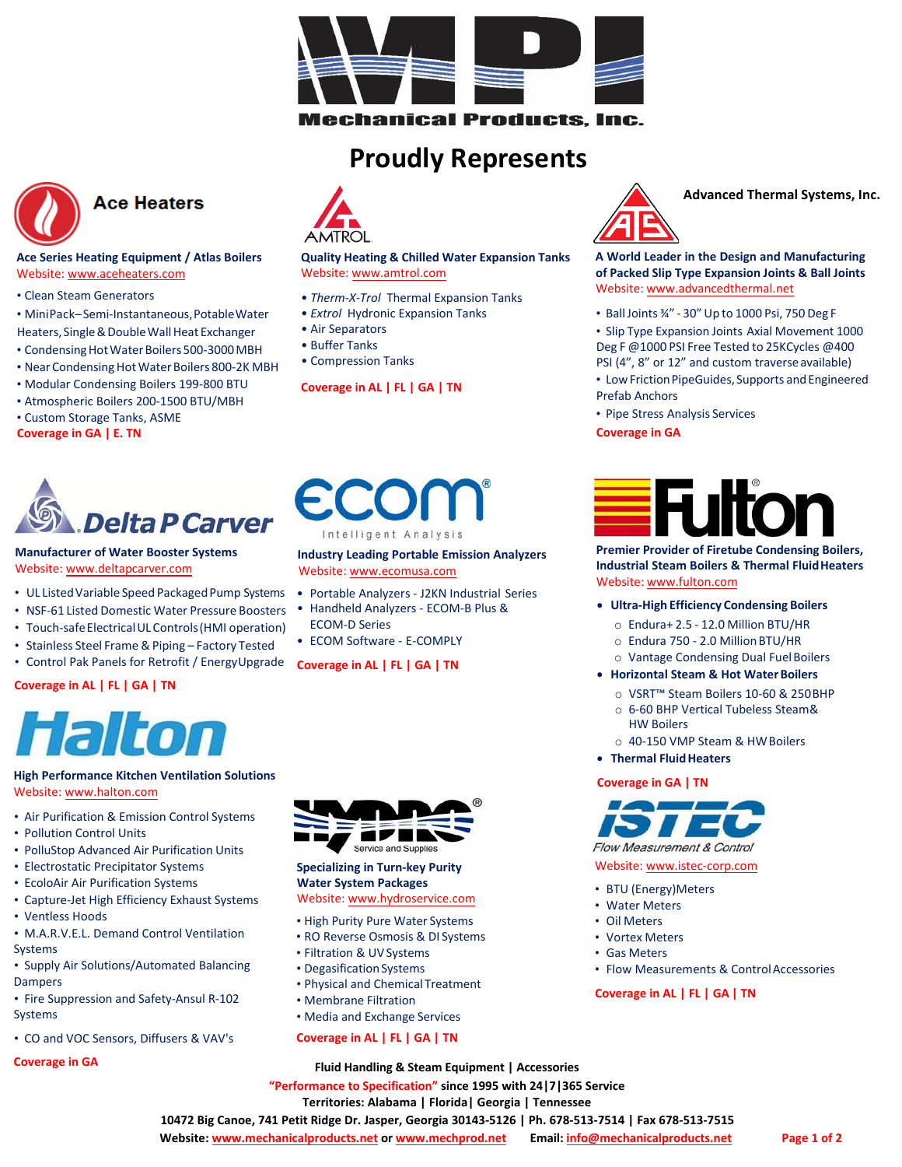

echanical Products, Inc.

## **Proudly Represents**

**[Quality Heating & Chilled Water](www.amtrol.com) Expansion Tanks**

• *Therm-X-Trol* [Thermal Expansion T](http://www.advancedthermal.net/)anks • *Extrol* Hydronic Expansion Tanks

Website: www.amtrol.com

**Coverage in AL | FL | GA | TN** 

• Air Separators • Buffer Tanks • Compression Tanks



## **Ace Heaters**

#### **Ace Series Heating Equipment / Atlas Boilers** Website: [www.aceheaters.com](http://www.aceheaters.com/)

- Clean Steam Generators
- MiniPack– Semi‐Instantaneous,PotableWater Heaters, Single & Double Wall Heat Exchanger
- Condensing Hot Water Boilers 500-3000 MBH
- Near Condensing Hot Water Boilers 800-2K MBH
- Modular Condensing Boilers 199‐800 BTU
- Atmospheric Boilers 200‐1500 BTU/MBH
- Custom Storage Tanks, ASME
- **Coverage in GA | E. TN**



#### **Manufacturer of Water Booster Systems** Website: [www.deltapcarver.co](http://www.ecomusa.com/)m

- UL Listed Variable Speed Packaged Pump Systems
- NSF‐61 Listed Domestic Water Pressure Boosters
- Touch-safe Electrical UL Controls (HMI operation)
- 
- Stainless Steel Frame & Piping Factory Tested
- Control Pak Panels for Retrofit / EnergyUpgrade

#### **Coverage in AL | FL | GA | TN**



#### **High Performance Kitchen Ventilation Solutions** Website: www.halton.com

- Air Purification & Emission Control Systems
- Pollution Control Units
- PolluStop Advanced Air Purification Units
- Electrostatic Precipitator Systems
- EcoloAir Air Purification Systems
- Capture‐Jet [High Efficiency](http://www.hydroservice.com/) Exhaust Systems
- Ventless Hoods
- M.A.R.V.E.L. Demand Control Ventilation Systems
- Supply Air Solutions/Automated Balancing Dampers
- Fire Suppression and Safety‐Ansul R‐102 Systems
- CO and VOC Sensors, Diffusers & VAV's

**Coverage in GA**



#### **Specializing in Turn‐key Purity Water System Packages** Website: www.hydroservice.com

- High Purity Pure Water Systems
- RO Reverse Osmosis & DI Systems
- Filtration & UV Systems
- Degasification Systems
- Physical and ChemicalTreatment
- Membrane Filtration
- Media and Exchange Services

#### **Coverage in AL | FL | GA | TN**



**Advanced Thermal Systems, Inc.**

**A World Leader in the Design and Manufacturing of Packed Slip Type [Expansion](http://www.deltapcarver.com/) Joints & Ball Joints**  Website: www.advancedthermal.net

- BallJoints ¾" ‐ 30" Up to 1000 Psi, 750 Deg F
- Slip Type Expansion Joints Axial Movement 1000 Deg F @1000 PSI Free Tested to 25KCycles @400 PSI (4", 8" or 12" and custom traverse available)
- Low Friction PipeGuides, Supports and Engineered Prefab Anchors
- Pipe Stress Analysis Services

**Coverage in GA**



**Premier Provider of Firetube Condensing Boilers, Industri[al Steam Boilers & T](http://www.halton.com/)hermal FluidHeaters**  Website: www.fulton.com

#### • **Ultra‐High Efficiency Condensing Boilers**

- o Endura+ 2.5 ‐ 12.0 Million BTU/HR
- o Endura 750 ‐ 2.0 MillionBTU/HR
- o Vantage Condensing Dual FuelBoilers
- **Horizontal Steam & Hot WaterBoilers**
	- o VSRT™ Steam Boilers 10‐60 & 250BHP
	- o 6‐60 BHP Vertical Tubeless Steam& HW Boilers
	- o 40‐150 VMP Steam & HWBoilers
- **Thermal Fluid Heaters**

#### **Coverage in GA | TN**



Website: www.istec‐corp.com

- BTU (Energy)Meters
- Water Meters
- Oil Meters
- Vortex Meters
- Gas Meters
- Flow Measurements & ControlAccessories

**Coverage in AL | FL | GA | TN**

**"Performance to Specification" since 1995 with 24|7|365 Service Territories: Alabama | Florida| Georgia | Tennessee Fluid Handling & Steam Equipment | Accessories**

**10472 Big Canoe, 741 Petit Ridge Dr. Jasper, Georgia 30143‐5126 | Ph. 678‐513‐7514 | Fax 678‐513‐7515** 

**Website: [www.mechanicalproducts.net or](http://www.mechanicalproducts.net/) [www.mechprod.net](http://www.mechprod.net/) Email: [info@mechanicalproducts.net](mailto:info@mechanicalproducts.net)**



## **Industry Leading Portable Emission Analyzers**

- Portable Analyzers ‐ J2KN Industrial Series
- Handheld Analyzers ‐ ECOM‐B Plus & ECOM‐D Series
- ECOM Software ‐ E‐COMPLY

# Website: [www.ecomusa.co](http://www.fulton.com/)m

- 
- 

#### **Coverage in AL | FL | GA | TN**